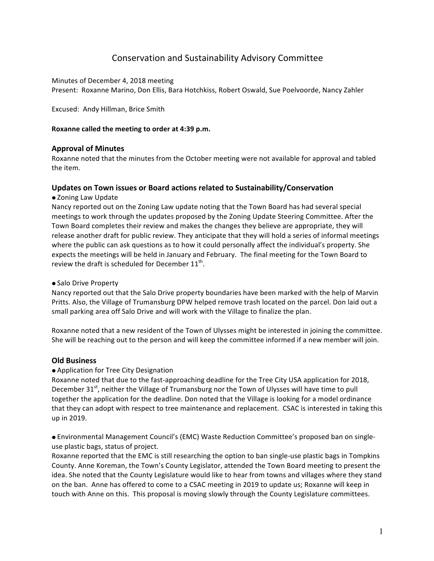# Conservation and Sustainability Advisory Committee

Minutes of December 4, 2018 meeting Present: Roxanne Marino, Don Ellis, Bara Hotchkiss, Robert Oswald, Sue Poelvoorde, Nancy Zahler

Excused: Andy Hillman, Brice Smith

### Roxanne called the meeting to order at 4:39 p.m.

## **Approval of Minutes**

Roxanne noted that the minutes from the October meeting were not available for approval and tabled the item.

### **Updates on Town issues or Board actions related to Sustainability/Conservation**

### • Zoning Law Update

Nancy reported out on the Zoning Law update noting that the Town Board has had several special meetings to work through the updates proposed by the Zoning Update Steering Committee. After the Town Board completes their review and makes the changes they believe are appropriate, they will release another draft for public review. They anticipate that they will hold a series of informal meetings where the public can ask questions as to how it could personally affect the individual's property. She expects the meetings will be held in January and February. The final meeting for the Town Board to review the draft is scheduled for December  $11<sup>th</sup>$ .

#### • Salo Drive Property

Nancy reported out that the Salo Drive property boundaries have been marked with the help of Marvin Pritts. Also, the Village of Trumansburg DPW helped remove trash located on the parcel. Don laid out a small parking area off Salo Drive and will work with the Village to finalize the plan.

Roxanne noted that a new resident of the Town of Ulysses might be interested in joining the committee. She will be reaching out to the person and will keep the committee informed if a new member will join.

## **Old Business**

#### • Application for Tree City Designation

Roxanne noted that due to the fast-approaching deadline for the Tree City USA application for 2018, December  $31^{st}$ , neither the Village of Trumansburg nor the Town of Ulysses will have time to pull together the application for the deadline. Don noted that the Village is looking for a model ordinance that they can adopt with respect to tree maintenance and replacement. CSAC is interested in taking this up in 2019.

• Environmental Management Council's (EMC) Waste Reduction Committee's proposed ban on singleuse plastic bags, status of project.

Roxanne reported that the EMC is still researching the option to ban single-use plastic bags in Tompkins County. Anne Koreman, the Town's County Legislator, attended the Town Board meeting to present the idea. She noted that the County Legislature would like to hear from towns and villages where they stand on the ban. Anne has offered to come to a CSAC meeting in 2019 to update us; Roxanne will keep in touch with Anne on this. This proposal is moving slowly through the County Legislature committees.